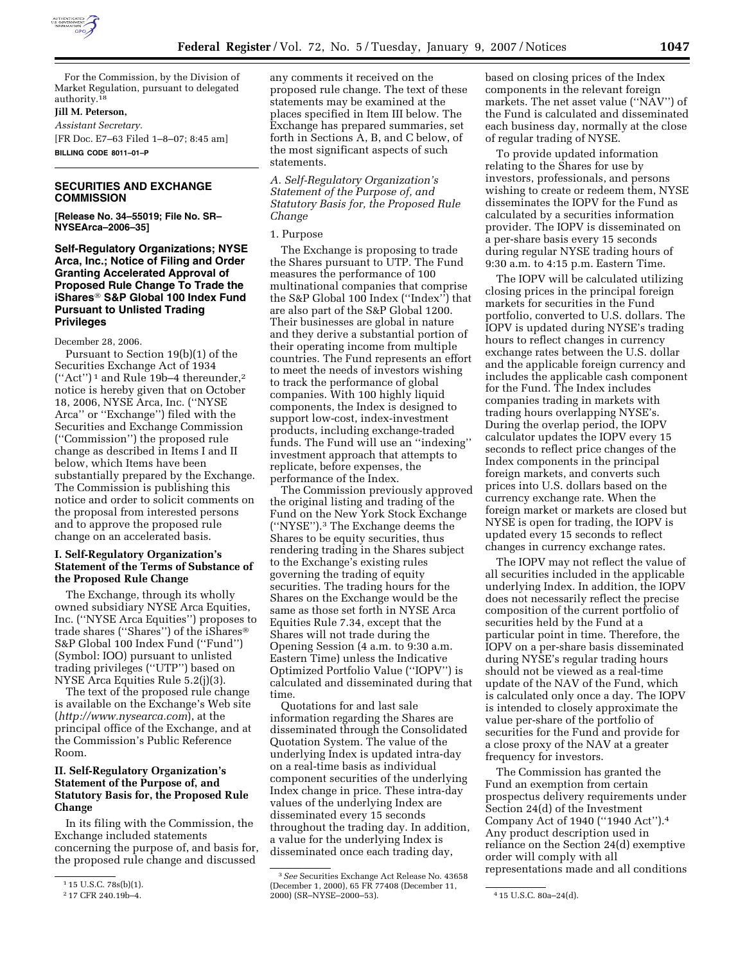

For the Commission, by the Division of Market Regulation, pursuant to delegated authority.18

## **Jill M. Peterson,**

*Assistant Secretary.* 

[FR Doc. E7–63 Filed 1–8–07; 8:45 am] **BILLING CODE 8011–01–P** 

# **SECURITIES AND EXCHANGE COMMISSION**

**[Release No. 34–55019; File No. SR– NYSEArca–2006–35]** 

**Self-Regulatory Organizations; NYSE Arca, Inc.; Notice of Filing and Order Granting Accelerated Approval of Proposed Rule Change To Trade the iShares S&P Global 100 Index Fund Pursuant to Unlisted Trading Privileges** 

December 28, 2006.

Pursuant to Section 19(b)(1) of the Securities Exchange Act of 1934  $("Act")^1$  and Rule 19b-4 thereunder,<sup>2</sup> notice is hereby given that on October 18, 2006, NYSE Arca, Inc. (''NYSE Arca'' or ''Exchange'') filed with the Securities and Exchange Commission (''Commission'') the proposed rule change as described in Items I and II below, which Items have been substantially prepared by the Exchange. The Commission is publishing this notice and order to solicit comments on the proposal from interested persons and to approve the proposed rule change on an accelerated basis.

## **I. Self-Regulatory Organization's Statement of the Terms of Substance of the Proposed Rule Change**

The Exchange, through its wholly owned subsidiary NYSE Arca Equities, Inc. (''NYSE Arca Equities'') proposes to trade shares (''Shares'') of the iShares S&P Global 100 Index Fund (''Fund'') (Symbol: IOO) pursuant to unlisted trading privileges (''UTP'') based on NYSE Arca Equities Rule 5.2(j)(3).

The text of the proposed rule change is available on the Exchange's Web site (*http://www.nysearca.com*), at the principal office of the Exchange, and at the Commission's Public Reference Room.

## **II. Self-Regulatory Organization's Statement of the Purpose of, and Statutory Basis for, the Proposed Rule Change**

In its filing with the Commission, the Exchange included statements concerning the purpose of, and basis for, the proposed rule change and discussed

any comments it received on the proposed rule change. The text of these statements may be examined at the places specified in Item III below. The Exchange has prepared summaries, set forth in Sections A, B, and C below, of the most significant aspects of such statements.

*A. Self-Regulatory Organization's Statement of the Purpose of, and Statutory Basis for, the Proposed Rule Change* 

1. Purpose

The Exchange is proposing to trade the Shares pursuant to UTP. The Fund measures the performance of 100 multinational companies that comprise the S&P Global 100 Index (''Index'') that are also part of the S&P Global 1200. Their businesses are global in nature and they derive a substantial portion of their operating income from multiple countries. The Fund represents an effort to meet the needs of investors wishing to track the performance of global companies. With 100 highly liquid components, the Index is designed to support low-cost, index-investment products, including exchange-traded funds. The Fund will use an ''indexing'' investment approach that attempts to replicate, before expenses, the performance of the Index.

The Commission previously approved the original listing and trading of the Fund on the New York Stock Exchange (''NYSE'').3 The Exchange deems the Shares to be equity securities, thus rendering trading in the Shares subject to the Exchange's existing rules governing the trading of equity securities. The trading hours for the Shares on the Exchange would be the same as those set forth in NYSE Arca Equities Rule 7.34, except that the Shares will not trade during the Opening Session (4 a.m. to 9:30 a.m. Eastern Time) unless the Indicative Optimized Portfolio Value (''IOPV'') is calculated and disseminated during that time.

Quotations for and last sale information regarding the Shares are disseminated through the Consolidated Quotation System. The value of the underlying Index is updated intra-day on a real-time basis as individual component securities of the underlying Index change in price. These intra-day values of the underlying Index are disseminated every 15 seconds throughout the trading day. In addition, a value for the underlying Index is disseminated once each trading day,

based on closing prices of the Index components in the relevant foreign markets. The net asset value (''NAV'') of the Fund is calculated and disseminated each business day, normally at the close of regular trading of NYSE.

To provide updated information relating to the Shares for use by investors, professionals, and persons wishing to create or redeem them, NYSE disseminates the IOPV for the Fund as calculated by a securities information provider. The IOPV is disseminated on a per-share basis every 15 seconds during regular NYSE trading hours of 9:30 a.m. to 4:15 p.m. Eastern Time.

The IOPV will be calculated utilizing closing prices in the principal foreign markets for securities in the Fund portfolio, converted to U.S. dollars. The IOPV is updated during NYSE's trading hours to reflect changes in currency exchange rates between the U.S. dollar and the applicable foreign currency and includes the applicable cash component for the Fund. The Index includes companies trading in markets with trading hours overlapping NYSE's. During the overlap period, the IOPV calculator updates the IOPV every 15 seconds to reflect price changes of the Index components in the principal foreign markets, and converts such prices into U.S. dollars based on the currency exchange rate. When the foreign market or markets are closed but NYSE is open for trading, the IOPV is updated every 15 seconds to reflect changes in currency exchange rates.

The IOPV may not reflect the value of all securities included in the applicable underlying Index. In addition, the IOPV does not necessarily reflect the precise composition of the current portfolio of securities held by the Fund at a particular point in time. Therefore, the IOPV on a per-share basis disseminated during NYSE's regular trading hours should not be viewed as a real-time update of the NAV of the Fund, which is calculated only once a day. The IOPV is intended to closely approximate the value per-share of the portfolio of securities for the Fund and provide for a close proxy of the NAV at a greater frequency for investors.

The Commission has granted the Fund an exemption from certain prospectus delivery requirements under Section 24(d) of the Investment Company Act of 1940 (''1940 Act'').4 Any product description used in reliance on the Section 24(d) exemptive order will comply with all representations made and all conditions

<sup>1</sup> 15 U.S.C. 78s(b)(1).

<sup>2</sup> 17 CFR 240.19b–4.

<sup>3</sup>*See* Securities Exchange Act Release No. 43658 (December 1, 2000), 65 FR 77408 (December 11, 2000) (SR–NYSE–2000–53). 4 15 U.S.C. 80a–24(d).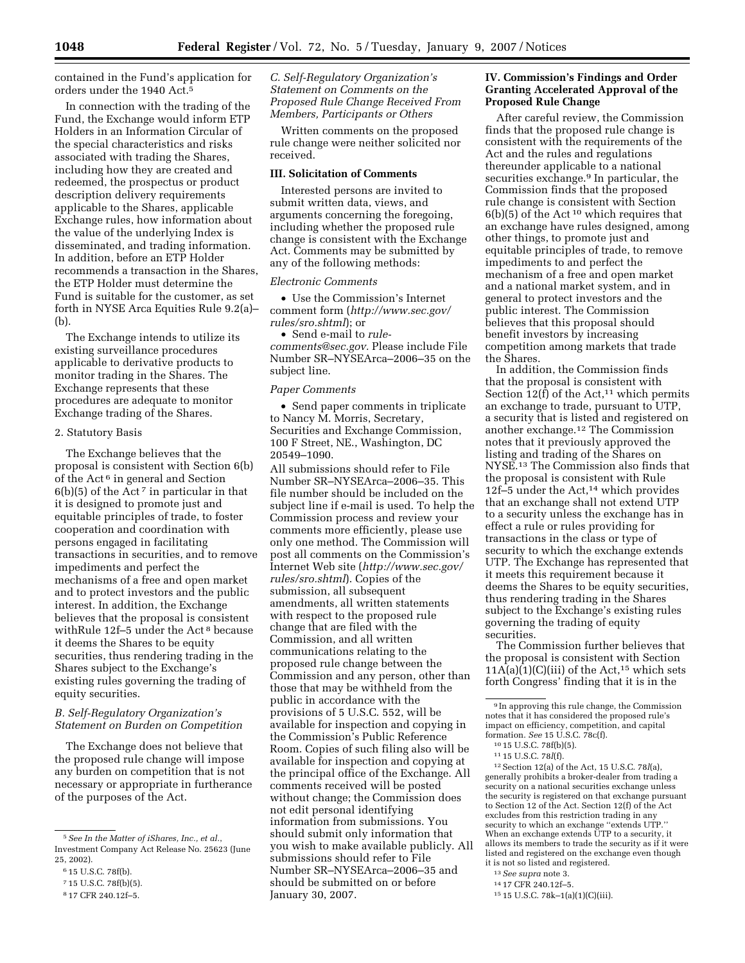contained in the Fund's application for orders under the 1940 Act.5

In connection with the trading of the Fund, the Exchange would inform ETP Holders in an Information Circular of the special characteristics and risks associated with trading the Shares, including how they are created and redeemed, the prospectus or product description delivery requirements applicable to the Shares, applicable Exchange rules, how information about the value of the underlying Index is disseminated, and trading information. In addition, before an ETP Holder recommends a transaction in the Shares, the ETP Holder must determine the Fund is suitable for the customer, as set forth in NYSE Arca Equities Rule 9.2(a)– (b).

The Exchange intends to utilize its existing surveillance procedures applicable to derivative products to monitor trading in the Shares. The Exchange represents that these procedures are adequate to monitor Exchange trading of the Shares.

### 2. Statutory Basis

The Exchange believes that the proposal is consistent with Section 6(b) of the Act<sup> $6$ </sup> in general and Section  $6(b)(5)$  of the Act<sup>7</sup> in particular in that it is designed to promote just and equitable principles of trade, to foster cooperation and coordination with persons engaged in facilitating transactions in securities, and to remove impediments and perfect the mechanisms of a free and open market and to protect investors and the public interest. In addition, the Exchange believes that the proposal is consistent withRule 12f–5 under the Act 8 because it deems the Shares to be equity securities, thus rendering trading in the Shares subject to the Exchange's existing rules governing the trading of equity securities.

# *B. Self-Regulatory Organization's Statement on Burden on Competition*

The Exchange does not believe that the proposed rule change will impose any burden on competition that is not necessary or appropriate in furtherance of the purposes of the Act.

*C. Self-Regulatory Organization's Statement on Comments on the Proposed Rule Change Received From Members, Participants or Others* 

Written comments on the proposed rule change were neither solicited nor received.

### **III. Solicitation of Comments**

Interested persons are invited to submit written data, views, and arguments concerning the foregoing, including whether the proposed rule change is consistent with the Exchange Act. Comments may be submitted by any of the following methods:

### *Electronic Comments*

• Use the Commission's Internet comment form (*http://www.sec.gov/ rules/sro.shtml*); or

• Send e-mail to *rulecomments@sec.gov.* Please include File Number SR–NYSEArca–2006–35 on the subject line.

#### *Paper Comments*

• Send paper comments in triplicate to Nancy M. Morris, Secretary, Securities and Exchange Commission, 100 F Street, NE., Washington, DC 20549–1090.

All submissions should refer to File Number SR–NYSEArca–2006–35. This file number should be included on the subject line if e-mail is used. To help the Commission process and review your comments more efficiently, please use only one method. The Commission will post all comments on the Commission's Internet Web site (*http://www.sec.gov/ rules/sro.shtml*). Copies of the submission, all subsequent amendments, all written statements with respect to the proposed rule change that are filed with the Commission, and all written communications relating to the proposed rule change between the Commission and any person, other than those that may be withheld from the public in accordance with the provisions of 5 U.S.C. 552, will be available for inspection and copying in the Commission's Public Reference Room. Copies of such filing also will be available for inspection and copying at the principal office of the Exchange. All comments received will be posted without change; the Commission does not edit personal identifying information from submissions. You should submit only information that you wish to make available publicly. All submissions should refer to File Number SR–NYSEArca–2006–35 and should be submitted on or before January 30, 2007.

## **IV. Commission's Findings and Order Granting Accelerated Approval of the Proposed Rule Change**

After careful review, the Commission finds that the proposed rule change is consistent with the requirements of the Act and the rules and regulations thereunder applicable to a national securities exchange.<sup>9</sup> In particular, the Commission finds that the proposed rule change is consistent with Section  $6(b)(5)$  of the Act<sup>10</sup> which requires that an exchange have rules designed, among other things, to promote just and equitable principles of trade, to remove impediments to and perfect the mechanism of a free and open market and a national market system, and in general to protect investors and the public interest. The Commission believes that this proposal should benefit investors by increasing competition among markets that trade the Shares.

In addition, the Commission finds that the proposal is consistent with Section  $12(f)$  of the Act,<sup>11</sup> which permits an exchange to trade, pursuant to UTP, a security that is listed and registered on another exchange.12 The Commission notes that it previously approved the listing and trading of the Shares on NYSE.13 The Commission also finds that the proposal is consistent with Rule 12f–5 under the Act,14 which provides that an exchange shall not extend UTP to a security unless the exchange has in effect a rule or rules providing for transactions in the class or type of security to which the exchange extends UTP. The Exchange has represented that it meets this requirement because it deems the Shares to be equity securities, thus rendering trading in the Shares subject to the Exchange's existing rules governing the trading of equity securities.

The Commission further believes that the proposal is consistent with Section  $11A(a)(1)(C)(iii)$  of the Act,<sup>15</sup> which sets forth Congress' finding that it is in the

12Section 12(a) of the Act, 15 U.S.C. 78*l*(a), generally prohibits a broker-dealer from trading a security on a national securities exchange unless the security is registered on that exchange pursuant to Section 12 of the Act. Section 12(f) of the Act excludes from this restriction trading in any security to which an exchange ''extends UTP.'' When an exchange extends UTP to a security, it allows its members to trade the security as if it were listed and registered on the exchange even though it is not so listed and registered.

15 15 U.S.C. 78k–1(a)(1)(C)(iii).

<sup>5</sup>*See In the Matter of iShares, Inc., et al.*, Investment Company Act Release No. 25623 (June 25, 2002).

<sup>6</sup> 15 U.S.C. 78f(b).

<sup>7</sup> 15 U.S.C. 78f(b)(5).

<sup>8</sup> 17 CFR 240.12f–5.

<sup>9</sup> In approving this rule change, the Commission notes that it has considered the proposed rule's impact on efficiency, competition, and capital<br>formation. *See* 15 U.S.C. 78c(f).<br><sup>10</sup> 15 U.S.C. 78f(b)(5).<br><sup>11</sup> 15 U.S.C. 78*l*(f).

<sup>13</sup>*See supra* note 3.

<sup>14</sup> 17 CFR 240.12f–5.